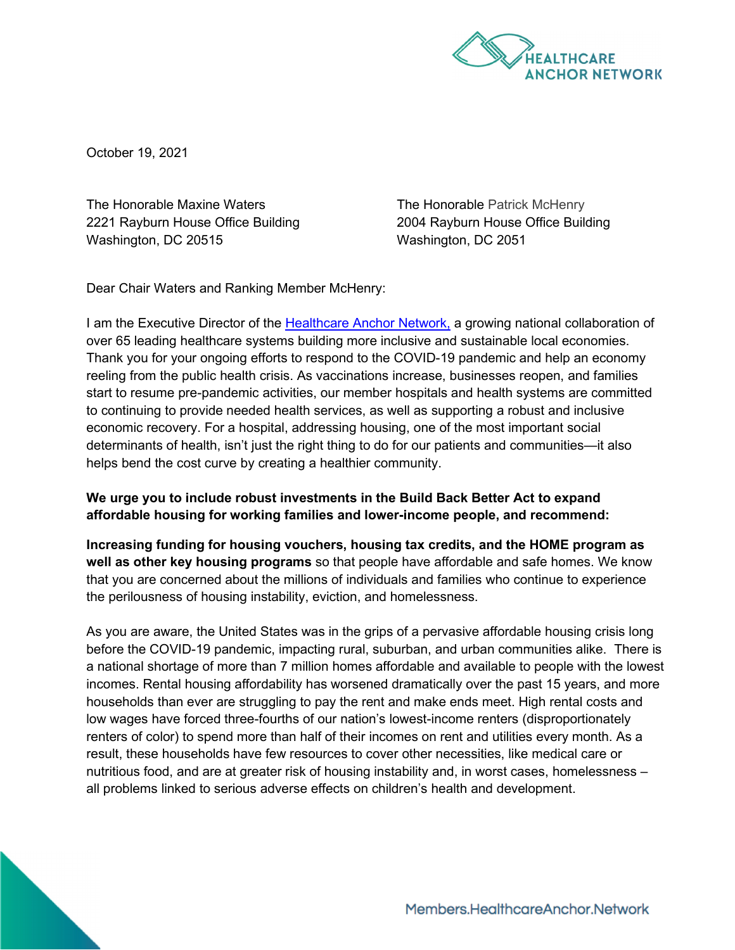

October 19, 2021

The Honorable Maxine Waters 2221 Rayburn House Office Building Washington, DC 20515

The Honorable Patrick McHenry 2004 Rayburn House Office Building Washington, DC 2051

Dear Chair Waters and Ranking Member McHenry:

I am the Executive Director of the [Healthcare Anchor Network,](https://healthcareanchor.network/) a growing national collaboration of over 65 leading healthcare systems building more inclusive and sustainable local economies. Thank you for your ongoing efforts to respond to the COVID-19 pandemic and help an economy reeling from the public health crisis. As vaccinations increase, businesses reopen, and families start to resume pre-pandemic activities, our member hospitals and health systems are committed to continuing to provide needed health services, as well as supporting a robust and inclusive economic recovery. For a hospital, addressing housing, one of the most important social determinants of health, isn't just the right thing to do for our patients and communities—it also helps bend the cost curve by creating a healthier community.

## **We urge you to include robust investments in the Build Back Better Act to expand affordable housing for working families and lower-income people, and recommend:**

**Increasing funding for housing vouchers, housing tax credits, and the HOME program as well as other key housing programs** so that people have affordable and safe homes. We know that you are concerned about the millions of individuals and families who continue to experience the perilousness of housing instability, eviction, and homelessness.

As you are aware, the United States was in the grips of a pervasive affordable housing crisis long before the COVID-19 pandemic, impacting rural, suburban, and urban communities alike. There is a national shortage of more than 7 million homes affordable and available to people with the lowest incomes. Rental housing affordability has worsened dramatically over the past 15 years, and more households than ever are struggling to pay the rent and make ends meet. High rental costs and low wages have forced three-fourths of our nation's lowest-income renters (disproportionately renters of color) to spend more than half of their incomes on rent and utilities every month. As a result, these households have few resources to cover other necessities, like medical care or nutritious food, and are at greater risk of housing instability and, in worst cases, homelessness – all problems linked to serious adverse effects on children's health and development.